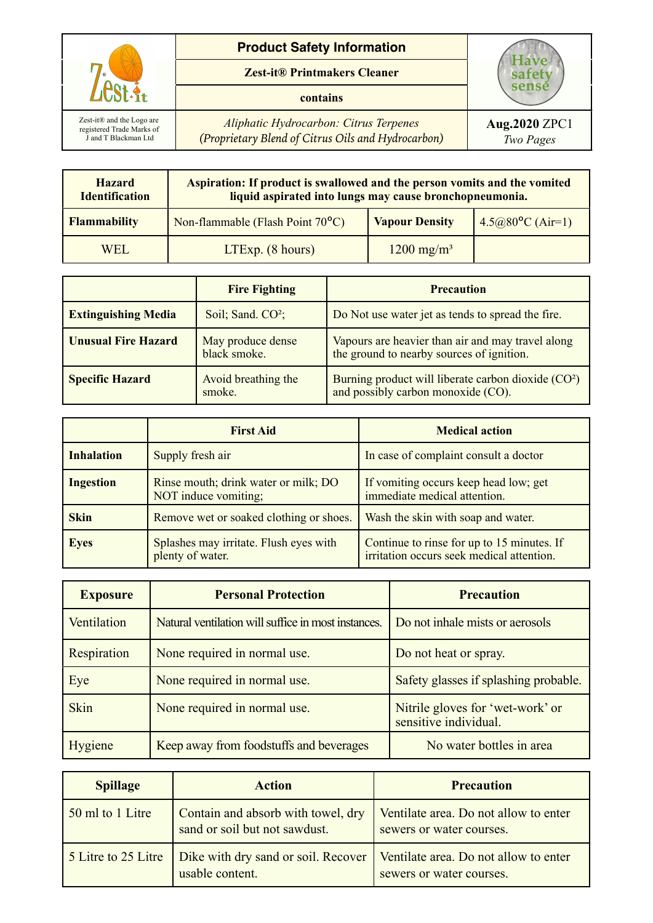

## **Product Safety Information**

**Zest-it® Printmakers Cleaner**

## **contains**

*Aliphatic Hydrocarbon: Citrus Terpenes (Proprietary Blend of Citrus Oils and Hydrocarbon)*

| <b>Hazard</b><br><b>Identification</b> | Aspiration: If product is swallowed and the person vomits and the vomited<br>liquid aspirated into lungs may cause bronchopneumonia. |                       |                           |
|----------------------------------------|--------------------------------------------------------------------------------------------------------------------------------------|-----------------------|---------------------------|
| <b>Flammability</b>                    | Non-flammable (Flash Point 70°C)                                                                                                     | <b>Vapour Density</b> | $4.5@80^{\circ}C (Air=1)$ |
| WEL.                                   | $LTExp.$ (8 hours)                                                                                                                   | $1200 \text{ mg/m}^3$ |                           |

|                            | <b>Fire Fighting</b>              | <b>Precaution</b>                                                                                     |
|----------------------------|-----------------------------------|-------------------------------------------------------------------------------------------------------|
| <b>Extinguishing Media</b> | Soil; Sand. CO <sup>2</sup> ;     | Do Not use water jet as tends to spread the fire.                                                     |
| <b>Unusual Fire Hazard</b> | May produce dense<br>black smoke. | Vapours are heavier than air and may travel along<br>the ground to nearby sources of ignition.        |
| <b>Specific Hazard</b>     | Avoid breathing the<br>smoke.     | Burning product will liberate carbon dioxide (CO <sup>2</sup> )<br>and possibly carbon monoxide (CO). |

|                   | <b>First Aid</b>                                             | <b>Medical action</b>                                                                   |
|-------------------|--------------------------------------------------------------|-----------------------------------------------------------------------------------------|
| <b>Inhalation</b> | Supply fresh air                                             | In case of complaint consult a doctor                                                   |
| <b>Ingestion</b>  | Rinse mouth; drink water or milk; DO<br>NOT induce vomiting; | If vomiting occurs keep head low; get<br>immediate medical attention.                   |
| <b>Skin</b>       | Remove wet or soaked clothing or shoes.                      | Wash the skin with soap and water.                                                      |
| <b>Eyes</b>       | Splashes may irritate. Flush eyes with<br>plenty of water.   | Continue to rinse for up to 15 minutes. If<br>irritation occurs seek medical attention. |

| <b>Exposure</b> | <b>Personal Protection</b>                          | <b>Precaution</b>                                         |
|-----------------|-----------------------------------------------------|-----------------------------------------------------------|
| Ventilation     | Natural ventilation will suffice in most instances. | Do not inhale mists or aerosols                           |
| Respiration     | None required in normal use.                        | Do not heat or spray.                                     |
| Eye             | None required in normal use.                        | Safety glasses if splashing probable.                     |
| <b>Skin</b>     | None required in normal use.                        | Nitrile gloves for 'wet-work' or<br>sensitive individual. |
| Hygiene         | Keep away from foodstuffs and beverages             | No water bottles in area                                  |

| <b>Spillage</b>     | <b>Action</b>                                                       | <b>Precaution</b>                                                 |
|---------------------|---------------------------------------------------------------------|-------------------------------------------------------------------|
| 50 ml to 1 Litre    | Contain and absorb with towel, dry<br>sand or soil but not sawdust. | Ventilate area. Do not allow to enter<br>sewers or water courses. |
| 5 Litre to 25 Litre | Dike with dry sand or soil. Recover<br>usable content.              | Ventilate area. Do not allow to enter<br>sewers or water courses. |